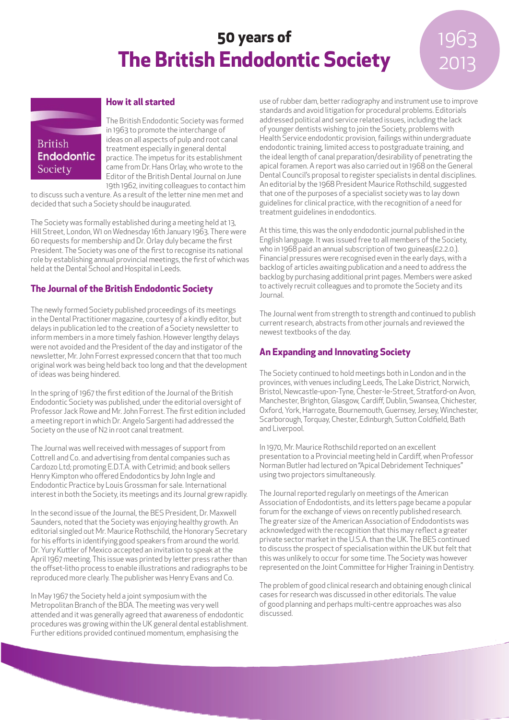# **50 years of The British Endodontic Society**

# 1963 2013

## **How it all started British Endodontic**

Society

The British Endodontic Society was formed in 1963 to promote the interchange of ideas on all aspects of pulp and root canal treatment especially in general dental practice. The impetus for its establishment came from Dr. Hans Orlay, who wrote to the Editor of the British Dental Journal on June 19th 1962, inviting colleagues to contact him

to discuss such a venture. As a result of the letter nine men met and decided that such a Society should be inaugurated.

The Society was formally established during a meeting held at 13, Hill Street, London, W1 on Wednesday 16th January 1963. There were 60 requests for membership and Dr. Orlay duly became the first President. The Society was one of the first to recognise its national role by establishing annual provincial meetings, the first of which was held at the Dental School and Hospital in Leeds.

### **The Journal of the British Endodontic Society**

The newly formed Society published proceedings of its meetings in the Dental Practitioner magazine, courtesy of a kindly editor, but delays in publication led to the creation of a Society newsletter to inform members in a more timely fashion. However lengthy delays were not avoided and the President of the day and instigator of the newsletter, Mr. John Forrest expressed concern that that too much original work was being held back too long and that the development of ideas was being hindered.

In the spring of 1967 the first edition of the Journal of the British Endodontic Society was published, under the editorial oversight of Professor Jack Rowe and Mr. John Forrest. The first edition included a meeting report in which Dr. Angelo Sargenti had addressed the Society on the use of N2 in root canal treatment.

The Journal was well received with messages of support from Cottrell and Co. and advertising from dental companies such as Cardozo Ltd; promoting E.D.T.A. with Cetrimid; and book sellers Henry Kimpton who offered Endodontics by John Ingle and Endodontic Practice by Louis Grossman for sale. International interest in both the Society, its meetings and its Journal grew rapidly.

In the second issue of the Journal, the BES President, Dr. Maxwell Saunders, noted that the Society was enjoying healthy growth. An editorial singled out Mr. Maurice Rothschild, the Honorary Secretary for his efforts in identifying good speakers from around the world. Dr. Yury Kuttler of Mexico accepted an invitation to speak at the April 1967 meeting. This issue was printed by letter press rather than the offset-litho process to enable illustrations and radiographs to be reproduced more clearly. The publisher was Henry Evans and Co.

In May 1967 the Society held a joint symposium with the Metropolitan Branch of the BDA. The meeting was very well attended and it was generally agreed that awareness of endodontic procedures was growing within the UK general dental establishment. Further editions provided continued momentum, emphasising the

use of rubber dam, better radiography and instrument use to improve standards and avoid litigation for procedural problems. Editorials addressed political and service related issues, including the lack of younger dentists wishing to join the Society, problems with Health Service endodontic provision, failings within undergraduate endodontic training, limited access to postgraduate training, and the ideal length of canal preparation/desirability of penetrating the apical foramen. A report was also carried out in 1968 on the General Dental Council's proposal to register specialists in dental disciplines. An editorial by the 1968 President Maurice Rothschild, suggested that one of the purposes of a specialist society was to lay down guidelines for clinical practice, with the recognition of a need for treatment guidelines in endodontics.

At this time, this was the only endodontic journal published in the English language. It was issued free to all members of the Society, who in 1968 paid an annual subscription of two guineas(£2.2.0.). Financial pressures were recognised even in the early days, with a backlog of articles awaiting publication and a need to address the backlog by purchasing additional print pages. Members were asked to actively recruit colleagues and to promote the Society and its Journal.

The Journal went from strength to strength and continued to publish current research, abstracts from other journals and reviewed the newest textbooks of the day.

## **An Expanding and Innovating Society**

The Society continued to hold meetings both in London and in the provinces, with venues including Leeds, The Lake District, Norwich, Bristol, Newcastle-upon-Tyne, Chester-le-Street, Stratford-on Avon, Manchester, Brighton, Glasgow, Cardiff, Dublin, Swansea, Chichester, Oxford, York, Harrogate, Bournemouth, Guernsey, Jersey, Winchester, Scarborough, Torquay, Chester, Edinburgh, Sutton Coldfield, Bath and Liverpool.

In 1970, Mr. Maurice Rothschild reported on an excellent presentation to a Provincial meeting held in Cardiff, when Professor Norman Butler had lectured on "Apical Debridement Techniques" using two projectors simultaneously.

The Journal reported regularly on meetings of the American Association of Endodontists, and its letters page became a popular forum for the exchange of views on recently published research. The greater size of the American Association of Endodontists was acknowledged with the recognition that this may reflect a greater private sector market in the U.S.A. than the UK. The BES continued to discuss the prospect of specialisation within the UK but felt that this was unlikely to occur for some time. The Society was however represented on the Joint Committee for Higher Training in Dentistry.

The problem of good clinical research and obtaining enough clinical cases for research was discussed in other editorials. The value of good planning and perhaps multi-centre approaches was also discussed.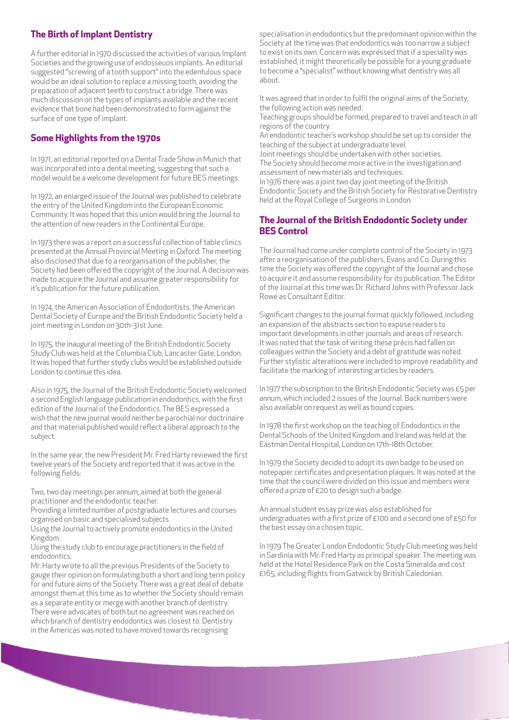#### **The Birth of Implant Dentistry**

A further editorial in 1970 discussed the activities of various Implant Societies and the growing use of endosseuos implants. An editorial suggested "screwing of a tooth support" into the edentulous space would be an ideal solution to replace a missing tooth, avoiding the preparation of adjacent teeth to construct a bridge. There was much discussion on the types of implants available and the recent evidence that bone had been demonstrated to form against the surface of one type of implant.

#### **Some Highlights from the 1970s**

In 1971, an editorial reported on a Dental Trade Show in Munich that was incorporated into a dental meeting, suggesting that such a model would be a welcome development for future BES meetings.

In 1972, an enlarged issue of the Journal was published to celebrate the entry of the United Kingdom into the European Economic Community. It was hoped that this union would bring the Journal to the attention of new readers in the Continental Europe.

In 1973 there was a report on a successful collection of table clinics presented at the Annual Provincial Meeting in Oxford. The meeting also disclosed that due to a reorganisation of the publisher, the Society had been offered the copyright of the Journal. A decision was made to acquire the Journal and assume greater responsibility for it's publication for the future publication.

In 1974, the American Association of Endodontists, the American Dental Society of Europe and the British Endodontic Society held a joint meeting in London on 30th-31st June.

In 1975, the inaugural meeting of the British Endodontic Society Study Club was held at the Columbia Club, Lancaster Gate, London. It was hoped that further study clubs would be established outside London to continue this idea.

Also in 1975, the Journal of the British Endodontic Society welcomed a second English language publication in endodontics, with the first edition of the Journal of the Endodontics. The BES expressed a wish that the new journal would neither be parochial nor doctrinaire and that material published would reflect a liberal approach to the subject.

In the same year, the new President Mr. Fred Harty reviewed the first twelve years of the Society and reported that it was active in the following fields:

Two, two day meetings per annum, aimed at both the general practitioner and the endodontic teacher.

Providing a limited number of postgraduate lectures and courses organised on basic and specialised subjects.

Using the Journal to actively promote endodontics in the United Kingdom.

Using the study club to encourage practitioners in the field of endodontics.

Mr. Harty wrote to all the previous Presidents of the Society to gauge their opinion on formulating both a short and long term policy for and future aims of the Society. There was a great deal of debate amongst them at this time as to whether the Society should remain as a separate entity or merge with another branch of dentistry. There were advocates of both but no agreement was reached on which branch of dentistry endodontics was closest to. Dentistry in the Americas was noted to have moved towards recognising

specialisation in endodontics but the predominant opinion within the Society at the time was that endodontics was too narrow a subject to exist on its own. Concern was expressed that if a speciality was established, it might theoretically be possible for a young graduate to become a "specialist" without knowing what dentistry was all about.

It was agreed that in order to fulfil the original aims of the Society, the following action was needed:

Teaching groups should be formed, prepared to travel and teach in all regions of the country.

An endodontic teacher's workshop should be set up to consider the teaching of the subject at undergraduate level.

Joint meetings should be undertaken with other societies. The Society should become more active in the investigation and assessment of new materials and techniques.

In 1976 there was a joint two day joint meeting of the British Endodontic Society and the British Society for Restorative Dentistry held at the Royal College of Surgeons in London.

#### **The Journal of the British Endodontic Society under BES Control**

The Journal had come under complete control of the Society in 1973 after a reorganisation of the publishers, Evans and Co. During this time the Society was offered the copyright of the Journal and chose to acquire it and assume responsibility for its publication. The Editor of the Journal at this time was Dr. Richard Johns with Professor Jack Rowe as Consultant Editor.

Significant changes to the journal format quickly followed, including an expansion of the abstracts section to expose readers to important developments in other journals and areas of research. It was noted that the task of writing these précis had fallen on colleagues within the Society and a debt of gratitude was noted. Further stylistic alterations were included to improve readability and facilitate the marking of interesting articles by readers.

In 1977 the subscription to the British Endodontic Society was £5 per annum, which included 2 issues of the Journal. Back numbers were also available on request as well as bound copies.

In 1978 the first workshop on the teaching of Endodontics in the Dental Schools of the United Kingdom and Ireland was held at the Eastman Dental Hospital, London on 17th-18th October.

In 1979 the Society decided to adopt its own badge to be used on notepaper certificates and presentation plaques. It was noted at the time that the council were divided on this issue and members were offered a prize of £20 to design such a badge.

An annual student essay prize was also established for undergraduates with a first prize of £100 and a second one of £50 for the best essay on a chosen topic.

In 1979 The Greater London Endodontic Study Club meeting was held in Sardinia with Mr. Fred Harty as principal speaker. The meeting was held at the Hotel Residence Park on the Costa Smeralda and cost £165, including flights from Gatwick by British Caledonian.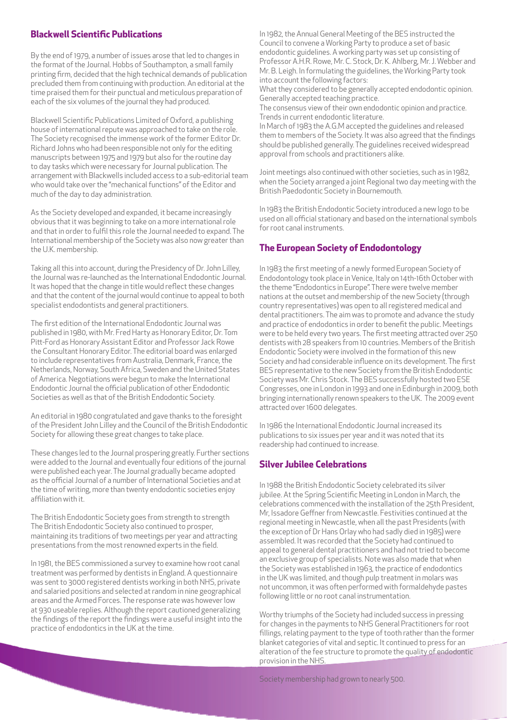#### **Blackwell Scientific Publications**

By the end of 1979, a number of issues arose that led to changes in the format of the Journal. Hobbs of Southampton, a small family printing firm, decided that the high technical demands of publication precluded them from continuing with production. An editorial at the time praised them for their punctual and meticulous preparation of each of the six volumes of the journal they had produced.

Blackwell Scientific Publications Limited of Oxford, a publishing house of international repute was approached to take on the role. The Society recognised the immense work of the former Editor Dr. Richard Johns who had been responsible not only for the editing manuscripts between 1975 and 1979 but also for the routine day to day tasks which were necessary for Journal publication. The arrangement with Blackwells included access to a sub-editorial team who would take over the "mechanical functions" of the Editor and much of the day to day administration.

As the Society developed and expanded, it became increasingly obvious that it was beginning to take on a more international role and that in order to fulfil this role the Journal needed to expand. The International membership of the Society was also now greater than the U.K. membership.

Taking all this into account, during the Presidency of Dr. John Lilley, the Journal was re-launched as the International Endodontic Journal. It was hoped that the change in title would reflect these changes and that the content of the journal would continue to appeal to both specialist endodontists and general practitioners.

The first edition of the International Endodontic Journal was published in 1980, with Mr. Fred Harty as Honorary Editor, Dr. Tom Pitt-Ford as Honorary Assistant Editor and Professor Jack Rowe the Consultant Honorary Editor. The editorial board was enlarged to include representatives from Australia, Denmark, France, the Netherlands, Norway, South Africa, Sweden and the United States of America. Negotiations were begun to make the International Endodontic Journal the official publication of other Endodontic Societies as well as that of the British Endodontic Society.

An editorial in 1980 congratulated and gave thanks to the foresight of the President John Lilley and the Council of the British Endodontic Society for allowing these great changes to take place.

These changes led to the Journal prospering greatly. Further sections were added to the Journal and eventually four editions of the journal were published each year. The Journal gradually became adopted as the official Journal of a number of International Societies and at the time of writing, more than twenty endodontic societies enjoy affiliation with it.

The British Endodontic Society goes from strength to strength The British Endodontic Society also continued to prosper, maintaining its traditions of two meetings per year and attracting presentations from the most renowned experts in the field.

In 1981, the BES commissioned a survey to examine how root canal treatment was performed by dentists in England. A questionnaire was sent to 3000 registered dentists working in both NHS, private and salaried positions and selected at random in nine geographical areas and the Armed Forces. The response rate was however low at 930 useable replies. Although the report cautioned generalizing the findings of the report the findings were a useful insight into the practice of endodontics in the UK at the time.

In 1982, the Annual General Meeting of the BES instructed the Council to convene a Working Party to produce a set of basic endodontic guidelines. A working party was set up consisting of Professor A.H.R. Rowe, Mr. C. Stock, Dr. K. Ahlberg, Mr. J. Webber and Mr. B. Leigh. In formulating the guidelines, the Working Party took into account the following factors:

What they considered to be generally accepted endodontic opinion. Generally accepted teaching practice.

The consensus view of their own endodontic opinion and practice. Trends in current endodontic literature.

In March of 1983 the A.G.M accepted the guidelines and released them to members of the Society. It was also agreed that the findings should be published generally. The guidelines received widespread approval from schools and practitioners alike.

Joint meetings also continued with other societies, such as in 1982, when the Society arranged a joint Regional two day meeting with the British Paedodontic Society in Bournemouth.

In 1983 the British Endodontic Society introduced a new logo to be used on all official stationary and based on the international symbols for root canal instruments.

#### **The European Society of Endodontology**

In 1983 the first meeting of a newly formed European Society of Endodontology took place in Venice, Italy on 14th-16th October with the theme "Endodontics in Europe". There were twelve member nations at the outset and membership of the new Society (through country representatives) was open to all registered medical and dental practitioners. The aim was to promote and advance the study and practice of endodontics in order to benefit the public. Meetings were to be held every two years. The first meeting attracted over 250 dentists with 28 speakers from 10 countries. Members of the British Endodontic Society were involved in the formation of this new Society and had considerable influence on its development. The first BES representative to the new Society from the British Endodontic Society was Mr. Chris Stock. The BES successfully hosted two ESE Congresses, one in London in 1993 and one in Edinburgh in 2009, both bringing internationally renown speakers to the UK. The 2009 event attracted over 1600 delegates.

In 1986 the International Endodontic Journal increased its publications to six issues per year and it was noted that its readership had continued to increase.

#### **Silver Jubilee Celebrations**

In 1988 the British Endodontic Society celebrated its silver jubilee. At the Spring Scientific Meeting in London in March, the celebrations commenced with the installation of the 25th President, Mr, Issadore Geffner from Newcastle. Festivities continued at the regional meeting in Newcastle, when all the past Presidents (with the exception of Dr Hans Orlay who had sadly died in 1985) were assembled. It was recorded that the Society had continued to appeal to general dental practitioners and had not tried to become an exclusive group of specialists. Note was also made that when the Society was established in 1963, the practice of endodontics in the UK was limited, and though pulp treatment in molars was not uncommon, it was often performed with formaldehyde pastes following little or no root canal instrumentation.

Worthy triumphs of the Society had included success in pressing for changes in the payments to NHS General Practitioners for root fillings, relating payment to the type of tooth rather than the former blanket categories of vital and septic. It continued to press for an alteration of the fee structure to promote the quality of endodontic provision in the NHS.

Society membership had grown to nearly 500.